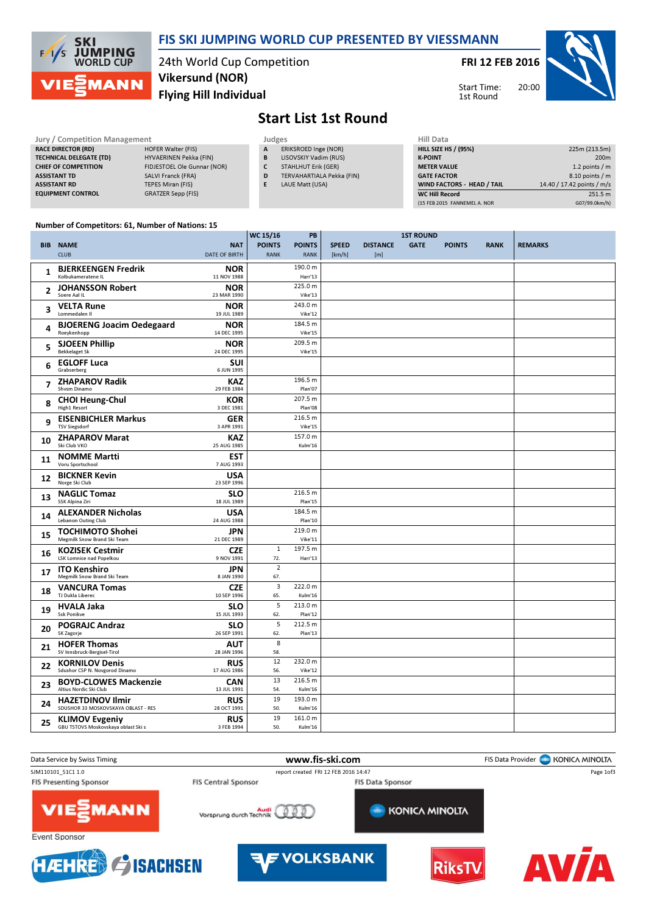

### FIS SKI JUMPING WORLD CUP PRESENTED BY VIESSMANN

24th World Cup Competition Flying Hill Individual Vikersund (NOR)

FRI 12 FEB 2016

Start Time: 1st Round



## Start List 1st Round

| Jury / Competition Management  |                             | Judges | <b>Hill Data</b>           |                    |
|--------------------------------|-----------------------------|--------|----------------------------|--------------------|
| <b>RACE DIRECTOR (RD)</b>      | HOFER Walter (FIS)          | A      | ERIKSROED Inge (NOR)       | <b>HILL SIZE H</b> |
| <b>TECHNICAL DELEGATE (TD)</b> | HYVAERINEN Pekka (FIN)      | B      | LISOVSKIY Vadim (RUS)      | <b>K-POINT</b>     |
| <b>CHIEF OF COMPETITION</b>    | FIDJESTOEL Ole Gunnar (NOR) |        | <b>STAHLHUT Erik (GER)</b> | <b>METER VAI</b>   |
| <b>ASSISTANT TD</b>            | SALVI Franck (FRA)          | D      | TERVAHARTIALA Pekka (FIN)  | <b>GATE FACT</b>   |
| <b>ASSISTANT RD</b>            | <b>TEPES Miran (FIS)</b>    |        | LAUE Matt (USA)            | <b>WIND FACT</b>   |
| <b>EQUIPMENT CONTROL</b>       | GRATZER Sepp (FIS)          |        |                            | <b>WC Hill Reg</b> |

| Hill Data                    |                            |
|------------------------------|----------------------------|
| <b>HILL SIZE HS / (95%)</b>  | 225m (213.5m)              |
| <b>K-POINT</b>               | 200 <sub>m</sub>           |
| <b>METER VALUE</b>           | 1.2 points $/m$            |
| <b>GATE FACTOR</b>           | 8.10 points / m            |
| WIND FACTORS - HEAD / TAIL   | 14.40 / 17.42 points / m/s |
| <b>WC Hill Record</b>        | 251.5 m                    |
| (15 FEB 2015 FANNEMEL A. NOR | G07/99.0km/h)              |

#### Number of Competitors: 61, Number of Nations: 15

|    |                                                                |                                    | WC 15/16                     | PB                           | <b>1ST ROUND</b>       |                        |             |               |             |                |
|----|----------------------------------------------------------------|------------------------------------|------------------------------|------------------------------|------------------------|------------------------|-------------|---------------|-------------|----------------|
|    | <b>BIB NAME</b><br><b>CLUB</b>                                 | <b>NAT</b><br><b>DATE OF BIRTH</b> | <b>POINTS</b><br><b>RANK</b> | <b>POINTS</b><br><b>RANK</b> | <b>SPEED</b><br>[km/h] | <b>DISTANCE</b><br>[m] | <b>GATE</b> | <b>POINTS</b> | <b>RANK</b> | <b>REMARKS</b> |
| 1  | <b>BJERKEENGEN Fredrik</b><br>Kolbukameratene IL               | <b>NOR</b><br>11 NOV 1988          |                              | 190.0 m<br>Harr'13           |                        |                        |             |               |             |                |
| 2  | <b>JOHANSSON Robert</b><br>Soere Aal IL                        | <b>NOR</b><br>23 MAR 1990          |                              | 225.0 m<br>Vike'13           |                        |                        |             |               |             |                |
| 3  | <b>VELTA Rune</b><br>Lommedalen II                             | <b>NOR</b><br>19 JUL 1989          |                              | 243.0 m<br>Vike'12           |                        |                        |             |               |             |                |
| 4  | <b>BJOERENG Joacim Oedegaard</b><br>Roeykenhopp                | <b>NOR</b><br>14 DEC 1995          |                              | 184.5 m<br>Vike'15           |                        |                        |             |               |             |                |
| 5  | <b>SJOEEN Phillip</b><br><b>Bekkelaget Sk</b>                  | <b>NOR</b><br>24 DEC 1995          |                              | 209.5 m<br>Vike'15           |                        |                        |             |               |             |                |
| 6  | <b>EGLOFF Luca</b><br>Grabserberg                              | SUI<br>6 JUN 1995                  |                              |                              |                        |                        |             |               |             |                |
| 7  | <b>ZHAPAROV Radik</b><br>Shvsm Dinamo                          | KAZ<br>29 FEB 1984                 |                              | 196.5 m<br>Plan'07           |                        |                        |             |               |             |                |
| 8  | <b>CHOI Heung-Chul</b><br>High1 Resort                         | <b>KOR</b><br>3 DEC 1981           |                              | 207.5 m<br>Plan'08           |                        |                        |             |               |             |                |
| 9  | <b>EISENBICHLER Markus</b><br><b>TSV Siegsdorf</b>             | <b>GER</b><br>3 APR 1991           |                              | 216.5 m<br>Vike'15           |                        |                        |             |               |             |                |
| 10 | <b>ZHAPAROV Marat</b><br>Ski Club VKO                          | <b>KAZ</b><br>25 AUG 1985          |                              | 157.0 m<br>Kulm'16           |                        |                        |             |               |             |                |
| 11 | <b>NOMME Martti</b><br>Voru Sportschool                        | <b>EST</b><br>7 AUG 1993           |                              |                              |                        |                        |             |               |             |                |
| 12 | <b>BICKNER Kevin</b><br>Norge Ski Club                         | <b>USA</b><br>23 SEP 1996          |                              |                              |                        |                        |             |               |             |                |
| 13 | <b>NAGLIC Tomaz</b><br>SSK Alpina Ziri                         | <b>SLO</b><br>18 JUL 1989          |                              | 216.5 m<br>Plan'15           |                        |                        |             |               |             |                |
| 14 | <b>ALEXANDER Nicholas</b><br>Lebanon Outing Club               | USA<br>24 AUG 1988                 |                              | 184.5 m<br>Plan'10           |                        |                        |             |               |             |                |
| 15 | <b>TOCHIMOTO Shohei</b><br>Megmilk Snow Brand Ski Team         | <b>JPN</b><br>21 DEC 1989          |                              | 219.0 m<br>Vike'11           |                        |                        |             |               |             |                |
| 16 | <b>KOZISEK Cestmir</b><br><b>LSK Lomnice nad Popelkou</b>      | <b>CZE</b><br>9 NOV 1991           | 1<br>72.                     | 197.5 m<br>Harr'13           |                        |                        |             |               |             |                |
| 17 | <b>ITO Kenshiro</b><br>Megmilk Snow Brand Ski Team             | JPN<br>8 JAN 1990                  | $\overline{2}$<br>67.        |                              |                        |                        |             |               |             |                |
| 18 | <b>VANCURA Tomas</b><br>TJ Dukla Liberec                       | <b>CZE</b><br>10 SEP 1996          | $\overline{3}$<br>65.        | 222.0 m<br>Kulm'16           |                        |                        |             |               |             |                |
| 19 | <b>HVALA Jaka</b><br><b>Ssk Ponikve</b>                        | <b>SLO</b><br>15 JUL 1993          | 5<br>62.                     | 213.0 m<br>Plan'12           |                        |                        |             |               |             |                |
| 20 | <b>POGRAJC Andraz</b><br>SK Zagorje                            | <b>SLO</b><br>26 SEP 1991          | 5<br>62.                     | 212.5 m<br>Plan'13           |                        |                        |             |               |             |                |
| 21 | <b>HOFER Thomas</b><br>SV Innsbruck-Bergisel-Tirol             | <b>AUT</b><br>28 JAN 1996          | 8<br>58.                     |                              |                        |                        |             |               |             |                |
| 22 | <b>KORNILOV Denis</b><br>Sdushor CSP N. Novgorod Dinamo        | <b>RUS</b><br>17 AUG 1986          | 12<br>56.                    | 232.0 m<br>Vike'12           |                        |                        |             |               |             |                |
| 23 | <b>BOYD-CLOWES Mackenzie</b><br>Altius Nordic Ski Club         | CAN<br>13 JUL 1991                 | 13<br>54.                    | 216.5 m<br>Kulm'16           |                        |                        |             |               |             |                |
| 24 | <b>HAZETDINOV Ilmir</b><br>SDUSHOR 33 MOSKOVSKAYA OBLAST - RES | <b>RUS</b><br>28 OCT 1991          | 19<br>50.                    | 193.0 m<br>Kulm'16           |                        |                        |             |               |             |                |
| 25 | <b>KLIMOV Evgeniy</b><br>GBU TSTOVS Moskovskaya oblast Ski s   | <b>RUS</b><br>3 FEB 1994           | 19<br>50.                    | 161.0 m<br>Kulm'16           |                        |                        |             |               |             |                |

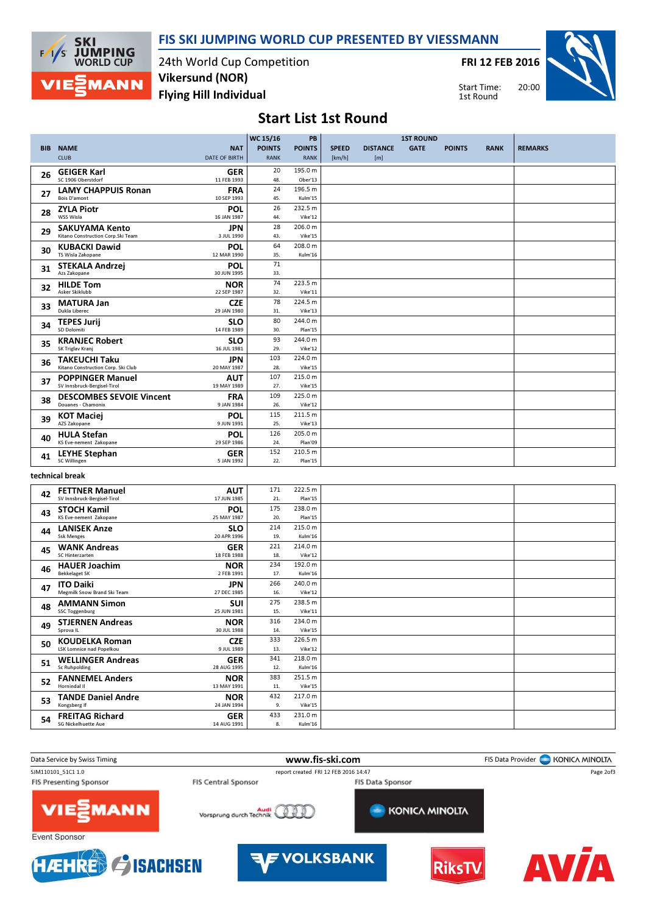



24th World Cup Competition Flying Hill Individual Vikersund (NOR)

FRI 12 FEB 2016



Start Time: 1st Round

## Start List 1st Round

|            |                                                            |                           | <b>WC 15/16</b> | PB                 |              |                 | <b>1ST ROUND</b> |               |             |                |
|------------|------------------------------------------------------------|---------------------------|-----------------|--------------------|--------------|-----------------|------------------|---------------|-------------|----------------|
| <b>BIB</b> | <b>NAME</b>                                                | <b>NAT</b>                | <b>POINTS</b>   | <b>POINTS</b>      | <b>SPEED</b> | <b>DISTANCE</b> | <b>GATE</b>      | <b>POINTS</b> | <b>RANK</b> | <b>REMARKS</b> |
|            | <b>CLUB</b>                                                | <b>DATE OF BIRTH</b>      | <b>RANK</b>     | <b>RANK</b>        | [km/h]       | [m]             |                  |               |             |                |
|            | <b>GEIGER Karl</b>                                         | <b>GER</b>                | 20              | 195.0 m            |              |                 |                  |               |             |                |
| 26         | SC 1906 Oberstdorf                                         | 11 FEB 1993               | 48.             | Ober'13            |              |                 |                  |               |             |                |
| 27         | <b>LAMY CHAPPUIS Ronan</b>                                 | <b>FRA</b>                | 24              | 196.5 m            |              |                 |                  |               |             |                |
|            | Bois D'amont                                               | 10 SEP 1993               | 45.             | Kulm'15            |              |                 |                  |               |             |                |
| 28         | <b>ZYLA Piotr</b>                                          | POL                       | 26              | 232.5 m            |              |                 |                  |               |             |                |
|            | WSS Wisla                                                  | 16 JAN 1987               | 44.             | Vike'12            |              |                 |                  |               |             |                |
| 29         | <b>SAKUYAMA Kento</b>                                      | <b>JPN</b>                | 28              | 206.0 m            |              |                 |                  |               |             |                |
|            | Kitano Construction Corp.Ski Team                          | 3 JUL 1990                | 43.<br>64       | Vike'15            |              |                 |                  |               |             |                |
| 30         | <b>KUBACKI Dawid</b><br>TS Wisla Zakopane                  | POL<br>12 MAR 1990        | 35.             | 208.0 m<br>Kulm'16 |              |                 |                  |               |             |                |
|            |                                                            | POL                       | 71              |                    |              |                 |                  |               |             |                |
| 31         | <b>STEKALA Andrzej</b><br>Azs Zakopane                     | 30 JUN 1995               | 33.             |                    |              |                 |                  |               |             |                |
|            | <b>HILDE Tom</b>                                           | <b>NOR</b>                | 74              | 223.5 m            |              |                 |                  |               |             |                |
| 32         | Asker Skiklubb                                             | 22 SEP 1987               | 32.             | Vike'11            |              |                 |                  |               |             |                |
| 33         | <b>MATURA Jan</b>                                          | <b>CZE</b>                | 78              | 224.5 m            |              |                 |                  |               |             |                |
|            | Dukla Liberec                                              | 29 JAN 1980               | 31.             | Vike'13            |              |                 |                  |               |             |                |
| 34         | <b>TEPES Jurij</b>                                         | <b>SLO</b>                | 80              | 244.0 m            |              |                 |                  |               |             |                |
|            | <b>SD Dolomiti</b>                                         | 14 FEB 1989               | 30.             | Plan'15            |              |                 |                  |               |             |                |
| 35         | <b>KRANJEC Robert</b><br>SK Triglav Kranj                  | <b>SLO</b><br>16 JUL 1981 | 93<br>29.       | 244.0 m<br>Vike'12 |              |                 |                  |               |             |                |
|            |                                                            |                           | 103             | 224.0 m            |              |                 |                  |               |             |                |
| 36         | <b>TAKEUCHI Taku</b><br>Kitano Construction Corp. Ski Club | <b>JPN</b><br>20 MAY 1987 | 28.             | Vike'15            |              |                 |                  |               |             |                |
|            | <b>POPPINGER Manuel</b>                                    | <b>AUT</b>                | 107             | 215.0 m            |              |                 |                  |               |             |                |
| 37         | SV Innsbruck-Bergisel-Tirol                                | 19 MAY 1989               | 27.             | Vike'15            |              |                 |                  |               |             |                |
| 38         | <b>DESCOMBES SEVOIE Vincent</b>                            | <b>FRA</b>                | 109             | 225.0 m            |              |                 |                  |               |             |                |
|            | Douanes - Chamonix                                         | 9 JAN 1984                | 26.             | Vike'12            |              |                 |                  |               |             |                |
| 39         | <b>KOT Maciej</b>                                          | <b>POL</b>                | 115             | 211.5 m            |              |                 |                  |               |             |                |
|            | AZS Zakopane                                               | 9 JUN 1991                | 25.             | Vike'13            |              |                 |                  |               |             |                |
| 40         | <b>HULA Stefan</b><br>KS Eve-nement Zakopane               | <b>POL</b><br>29 SEP 1986 | 126<br>24.      | 205.0 m<br>Plan'09 |              |                 |                  |               |             |                |
|            |                                                            |                           | 152             | 210.5 m            |              |                 |                  |               |             |                |
| 41         | <b>LEYHE Stephan</b><br>SC Willingen                       | <b>GER</b><br>5 JAN 1992  | 22.             | Plan'15            |              |                 |                  |               |             |                |
|            |                                                            |                           |                 |                    |              |                 |                  |               |             |                |
|            | technical break                                            |                           |                 |                    |              |                 |                  |               |             |                |
| 42         | <b>FETTNER Manuel</b>                                      | <b>AUT</b>                | 171             | 222.5 m            |              |                 |                  |               |             |                |
|            | SV Innsbruck-Bergisel-Tirol                                | 17 JUN 1985               | 21.             | Plan'15            |              |                 |                  |               |             |                |
| 43         | <b>STOCH Kamil</b>                                         | POL                       | 175             | 238.0 m            |              |                 |                  |               |             |                |
|            | KS Eve-nement Zakopane                                     | 25 MAY 1987               | 20.             | Plan'15            |              |                 |                  |               |             |                |
|            | <b>LANISEK Anze</b>                                        | $\mathbf{S}$              | 214             | 215.0 m            |              |                 |                  |               |             |                |

| 43 | JI UCII IVAIIIII<br>KS Eve-nement Zakopane | . .<br>25 MAY 1987 | 20. | Plan'15 |  |
|----|--------------------------------------------|--------------------|-----|---------|--|
| 44 | <b>LANISEK Anze</b>                        | <b>SLO</b>         | 214 | 215.0 m |  |
|    | <b>Ssk Menges</b>                          | 20 APR 1996        | 19. | Kulm'16 |  |
| 45 | <b>WANK Andreas</b>                        | <b>GER</b>         | 221 | 214.0 m |  |
|    | SC Hinterzarten                            | 18 FEB 1988        | 18. | Vike'12 |  |
|    | <b>HAUER Joachim</b>                       | <b>NOR</b>         | 234 | 192.0 m |  |
| 46 | <b>Bekkelaget SK</b>                       | 2 FEB 1991         | 17. | Kulm'16 |  |
|    | <b>ITO Daiki</b>                           | JPN                | 266 | 240.0 m |  |
| 47 | Megmilk Snow Brand Ski Team                | 27 DEC 1985        | 16. | Vike'12 |  |
|    |                                            |                    |     |         |  |
| 48 | <b>AMMANN Simon</b>                        | SUI                | 275 | 238.5 m |  |
|    | <b>SSC Toggenburg</b>                      | 25 JUN 1981        | 15. | Vike'11 |  |
| 49 | <b>STJERNEN Andreas</b>                    | <b>NOR</b>         | 316 | 234.0 m |  |
|    | Sprova IL                                  | 30 JUL 1988        | 14. | Vike'15 |  |
|    | <b>KOUDELKA Roman</b>                      | <b>CZE</b>         | 333 | 226.5 m |  |
| 50 | <b>LSK Lomnice nad Popelkou</b>            | 9 JUL 1989         | 13. | Vike'12 |  |
|    | <b>WELLINGER Andreas</b>                   | <b>GER</b>         | 341 | 218.0 m |  |
| 51 | Sc Ruhpolding                              | 28 AUG 1995        | 12. | Kulm'16 |  |
|    |                                            |                    |     |         |  |
| 52 | <b>FANNEMEL Anders</b>                     | <b>NOR</b>         | 383 | 251.5 m |  |
|    | Hornindal II                               | 13 MAY 1991        | 11. | Vike'15 |  |
| 53 | <b>TANDE Daniel Andre</b>                  | <b>NOR</b>         | 432 | 217.0 m |  |
|    | Kongsberg If                               | 24 JAN 1994        | 9.  | Vike'15 |  |
|    | <b>FREITAG Richard</b>                     | <b>GER</b>         | 433 | 231.0 m |  |
| 54 | <b>SG Nickelhuette Aue</b>                 | 14 AUG 1991        | 8.  | Kulm'16 |  |
|    |                                            |                    |     |         |  |